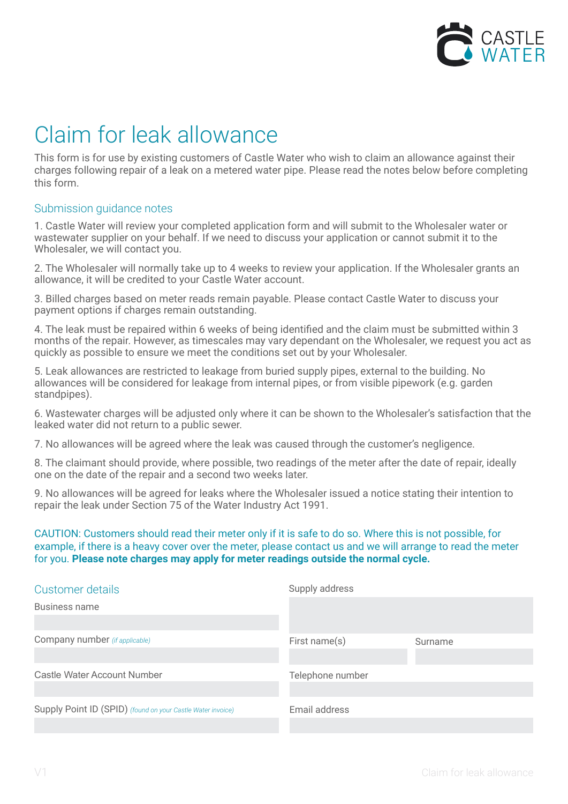

## Claim for leak allowance

This form is for use by existing customers of Castle Water who wish to claim an allowance against their charges following repair of a leak on a metered water pipe. Please read the notes below before completing this form.

## Submission guidance notes

1. Castle Water will review your completed application form and will submit to the Wholesaler water or wastewater supplier on your behalf. If we need to discuss your application or cannot submit it to the Wholesaler, we will contact you.

2. The Wholesaler will normally take up to 4 weeks to review your application. If the Wholesaler grants an allowance, it will be credited to your Castle Water account.

3. Billed charges based on meter reads remain payable. Please contact Castle Water to discuss your payment options if charges remain outstanding.

4. The leak must be repaired within 6 weeks of being identified and the claim must be submitted within 3 months of the repair. However, as timescales may vary dependant on the Wholesaler, we request you act as quickly as possible to ensure we meet the conditions set out by your Wholesaler.

5. Leak allowances are restricted to leakage from buried supply pipes, external to the building. No allowances will be considered for leakage from internal pipes, or from visible pipework (e.g. garden standpipes).

6. Wastewater charges will be adjusted only where it can be shown to the Wholesaler's satisfaction that the leaked water did not return to a public sewer.

7. No allowances will be agreed where the leak was caused through the customer's negligence.

8. The claimant should provide, where possible, two readings of the meter after the date of repair, ideally one on the date of the repair and a second two weeks later.

9. No allowances will be agreed for leaks where the Wholesaler issued a notice stating their intention to repair the leak under Section 75 of the Water Industry Act 1991.

CAUTION: Customers should read their meter only if it is safe to do so. Where this is not possible, for example, if there is a heavy cover over the meter, please contact us and we will arrange to read the meter for you. **Please note charges may apply for meter readings outside the normal cycle.**

| Customer details                                            | Supply address   |         |
|-------------------------------------------------------------|------------------|---------|
| Business name                                               |                  |         |
| Company number (if applicable)                              | First name(s)    | Surname |
| Castle Water Account Number                                 | Telephone number |         |
|                                                             |                  |         |
| Supply Point ID (SPID) (found on your Castle Water invoice) | Email address    |         |
|                                                             |                  |         |